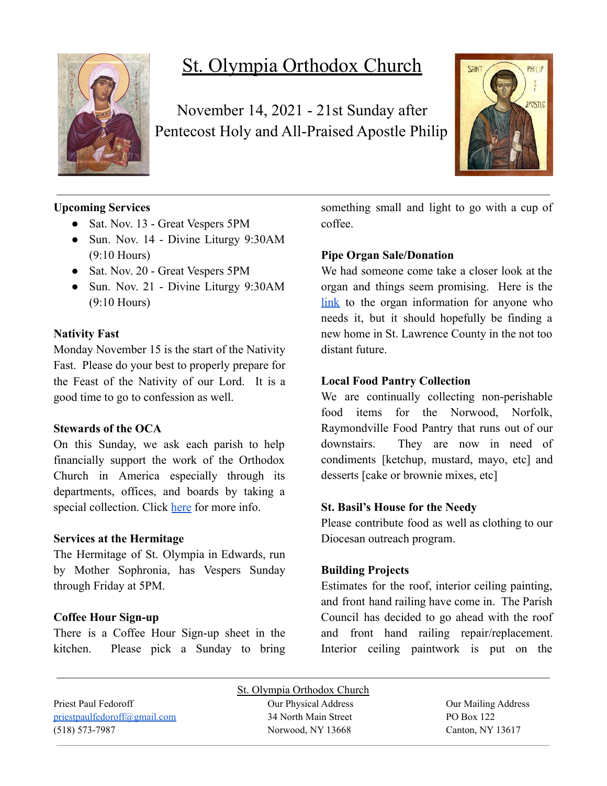

# St. Olympia Orthodox Church

November 14, 2021 - 21st Sunday after Pentecost Holy and All-Praised Apostle Philip



# **Upcoming Services**

- Sat. Nov. 13 Great Vespers 5PM
- Sun. Nov. 14 Divine Liturgy 9:30AM (9:10 Hours)
- Sat. Nov. 20 Great Vespers 5PM
- Sun. Nov. 21 Divine Liturgy 9:30AM (9:10 Hours)

### **Nativity Fast**

Monday November 15 is the start of the Nativity Fast. Please do your best to properly prepare for the Feast of the Nativity of our Lord. It is a good time to go to confession as well.

### **Stewards of the OCA**

On this Sunday, we ask each parish to help financially support the work of the Orthodox Church in America especially through its departments, offices, and boards by taking a special collection. Click [here](https://www.oca.org/become-a-steward) for more info.

### **Services at the Hermitage**

The Hermitage of St. Olympia in Edwards, run by Mother Sophronia, has Vespers Sunday through Friday at 5PM.

### **Coffee Hour Sign-up**

There is a Coffee Hour Sign-up sheet in the kitchen. Please pick a Sunday to bring something small and light to go with a cup of coffee.

## **Pipe Organ Sale/Donation**

We had someone come take a closer look at the organ and things seem promising. Here is the [link](https://www.carlsonorgans.com/carlson-pipe-organ.html?fbclid=IwAR0AP0R6-ZPq_msuHfolTcWBIFhgxMi9NY6dlXykcgRBM4j3qId0FzVWnes) to the organ information for anyone who needs it, but it should hopefully be finding a new home in St. Lawrence County in the not too distant future.

### **Local Food Pantry Collection**

We are continually collecting non-perishable food items for the Norwood, Norfolk, Raymondville Food Pantry that runs out of our downstairs. They are now in need of condiments [ketchup, mustard, mayo, etc] and desserts [cake or brownie mixes, etc]

### **St. Basil's House for the Needy**

Please contribute food as well as clothing to our Diocesan outreach program.

### **Building Projects**

Estimates for the roof, interior ceiling painting, and front hand railing have come in. The Parish Council has decided to go ahead with the roof and front hand railing repair/replacement. Interior ceiling paintwork is put on the

| St. Olympia Orthodox Church                                                                                                                                       |                      |                     |
|-------------------------------------------------------------------------------------------------------------------------------------------------------------------|----------------------|---------------------|
| Priest Paul Fedoroff                                                                                                                                              | Our Physical Address | Our Mailing Address |
| $priest a u if u is a u if u is a u if u is a u if u is a u if u is a u if u is a u if u is a u if u is a u if u is a u if u is a u if u is a u if u is a u if u$ | 34 North Main Street | PO Box 122          |
| $(518) 573 - 7987$                                                                                                                                                | Norwood, NY 13668    | Canton, NY 13617    |